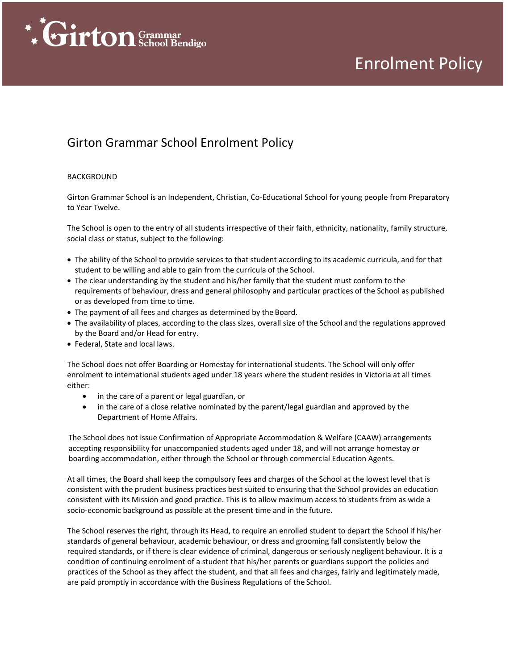

## Enrolment Policy

### Girton Grammar School Enrolment Policy

#### BACKGROUND

Girton Grammar School is an Independent, Christian, Co-Educational School for young people from Preparatory to Year Twelve.

The School is open to the entry of all students irrespective of their faith, ethnicity, nationality, family structure, social class or status, subject to the following:

- The ability of the School to provide services to that student according to its academic curricula, and for that student to be willing and able to gain from the curricula of the School.
- The clear understanding by the student and his/her family that the student must conform to the requirements of behaviour, dress and general philosophy and particular practices of the School as published or as developed from time to time.
- The payment of all fees and charges as determined by the Board.
- The availability of places, according to the class sizes, overall size of the School and the regulations approved by the Board and/or Head for entry.
- Federal, State and local laws.

The School does not offer Boarding or Homestay for international students. The School will only offer enrolment to international students aged under 18 years where the student resides in Victoria at all times either:

- in the care of a parent or legal guardian, or
- in the care of a close relative nominated by the parent/legal guardian and approved by the Department of Home Affairs.

The School does not issue Confirmation of Appropriate Accommodation & Welfare (CAAW) arrangements accepting responsibility for unaccompanied students aged under 18, and will not arrange homestay or boarding accommodation, either through the School or through commercial Education Agents.

At all times, the Board shall keep the compulsory fees and charges of the School at the lowest level that is consistent with the prudent business practices best suited to ensuring that the School provides an education consistent with its Mission and good practice. This is to allow maximum access to students from as wide a socio-economic background as possible at the present time and in the future.

The School reserves the right, through its Head, to require an enrolled student to depart the School if his/her standards of general behaviour, academic behaviour, or dress and grooming fall consistently below the required standards, or if there is clear evidence of criminal, dangerous or seriously negligent behaviour. It is a condition of continuing enrolment of a student that his/her parents or guardians support the policies and practices of the School as they affect the student, and that all fees and charges, fairly and legitimately made, are paid promptly in accordance with the Business Regulations of the School.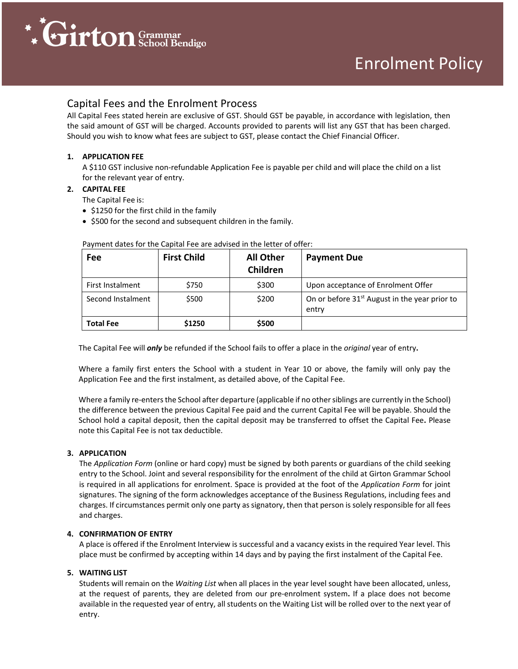

#### Capital Fees and the Enrolment Process

All Capital Fees stated herein are exclusive of GST. Should GST be payable, in accordance with legislation, then the said amount of GST will be charged. Accounts provided to parents will list any GST that has been charged. Should you wish to know what fees are subject to GST, please contact the Chief Financial Officer.

#### **1. APPLICATION FEE**

A \$110 GST inclusive non-refundable Application Fee is payable per child and will place the child on a list for the relevant year of entry.

#### **2. CAPITAL FEE**

The Capital Fee is:

- \$1250 for the first child in the family
- \$500 for the second and subsequent children in the family.

| Fee               | <b>First Child</b> | <b>All Other</b><br>Children | <b>Payment Due</b>                                                 |
|-------------------|--------------------|------------------------------|--------------------------------------------------------------------|
| First Instalment  | \$750              | \$300                        | Upon acceptance of Enrolment Offer                                 |
| Second Instalment | \$500              | \$200                        | On or before 31 <sup>st</sup> August in the year prior to<br>entry |
| <b>Total Fee</b>  | \$1250             | \$500                        |                                                                    |

#### Payment dates for the Capital Fee are advised in the letter of offer:

The Capital Fee will *only* be refunded if the School fails to offer a place in the *original* year of entry**.**

Where a family first enters the School with a student in Year 10 or above, the family will only pay the Application Fee and the first instalment, as detailed above, of the Capital Fee.

Where a family re-enters the School after departure (applicable if no other siblings are currently in the School) the difference between the previous Capital Fee paid and the current Capital Fee will be payable. Should the School hold a capital deposit, then the capital deposit may be transferred to offset the Capital Fee**.** Please note this Capital Fee is not tax deductible.

#### **3. APPLICATION**

The *Application Form* (online or hard copy) must be signed by both parents or guardians of the child seeking entry to the School. Joint and several responsibility for the enrolment of the child at Girton Grammar School is required in all applications for enrolment. Space is provided at the foot of the *Application Form* for joint signatures. The signing of the form acknowledges acceptance of the Business Regulations, including fees and charges. If circumstances permit only one party as signatory, then that person is solely responsible for all fees and charges.

#### **4. CONFIRMATION OF ENTRY**

A place is offered if the Enrolment Interview is successful and a vacancy exists in the required Year level. This place must be confirmed by accepting within 14 days and by paying the first instalment of the Capital Fee.

#### **5. WAITING LIST**

Students will remain on the *Waiting List* when all places in the year level sought have been allocated, unless, at the request of parents, they are deleted from our pre-enrolment system**.** If a place does not become available in the requested year of entry, all students on the Waiting List will be rolled over to the next year of entry.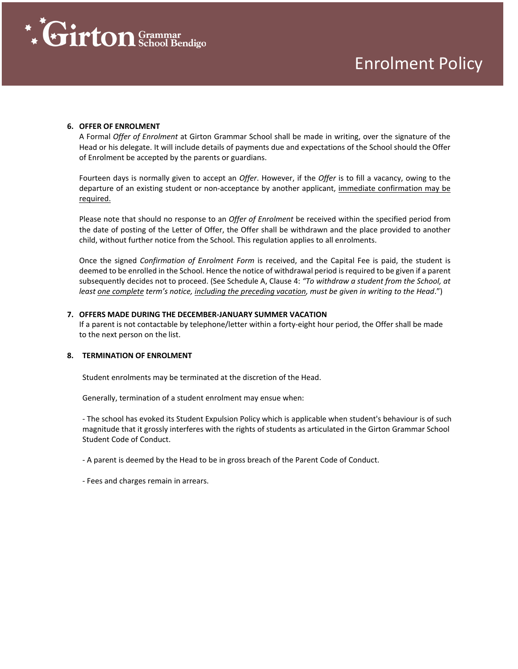

#### **6. OFFER OF ENROLMENT**

A Formal *Offer of Enrolment* at Girton Grammar School shall be made in writing, over the signature of the Head or his delegate. It will include details of payments due and expectations of the School should the Offer of Enrolment be accepted by the parents or guardians.

Fourteen days is normally given to accept an *Offer*. However, if the *Offer* is to fill a vacancy, owing to the departure of an existing student or non-acceptance by another applicant, immediate confirmation may be required.

Please note that should no response to an *Offer of Enrolment* be received within the specified period from the date of posting of the Letter of Offer, the Offer shall be withdrawn and the place provided to another child, without further notice from the School. This regulation applies to all enrolments.

Once the signed *Confirmation of Enrolment Form* is received, and the Capital Fee is paid, the student is deemed to be enrolled in the School. Hence the notice of withdrawal period is required to be given if a parent subsequently decides not to proceed. (See Schedule A, Clause 4: *"To withdraw a student from the School, at least one complete term's notice, including the preceding vacation, must be given in writing to the Head*.")

#### **7. OFFERS MADE DURING THE DECEMBER-JANUARY SUMMER VACATION**

If a parent is not contactable by telephone/letter within a forty-eight hour period, the Offer shall be made to the next person on the list.

#### **8. TERMINATION OF ENROLMENT**

Student enrolments may be terminated at the discretion of the Head.

Generally, termination of a student enrolment may ensue when:

- The school has evoked its Student Expulsion Policy which is applicable when student's behaviour is of such magnitude that it grossly interferes with the rights of students as articulated in the Girton Grammar School Student Code of Conduct.

- A parent is deemed by the Head to be in gross breach of the Parent Code of Conduct.

- Fees and charges remain in arrears.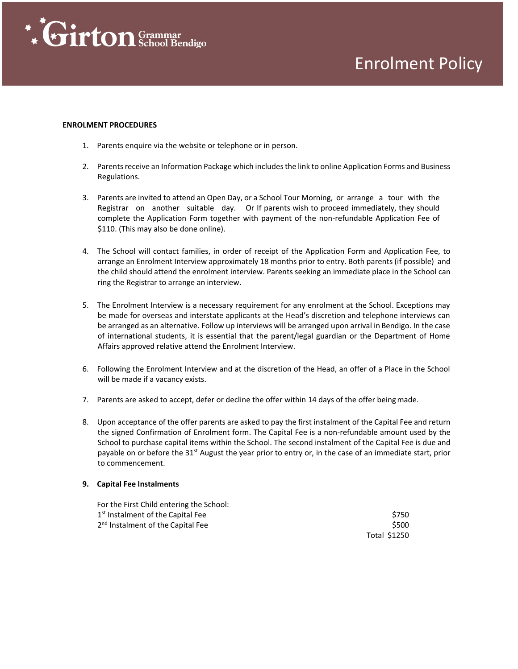

## Enrolment Policy

#### **ENROLMENT PROCEDURES**

- 1. Parents enquire via the website or telephone or in person.
- 2. Parents receive an Information Package which includes the link to online Application Forms and Business Regulations.
- 3. Parents are invited to attend an Open Day, or a School Tour Morning, or arrange a tour with the Registrar on another suitable day. Or If parents wish to proceed immediately, they should complete the Application Form together with payment of the non-refundable Application Fee of \$110. (This may also be done online).
- 4. The School will contact families, in order of receipt of the Application Form and Application Fee, to arrange an Enrolment Interview approximately 18 months prior to entry. Both parents (if possible) and the child should attend the enrolment interview. Parents seeking an immediate place in the School can ring the Registrar to arrange an interview.
- 5. The Enrolment Interview is a necessary requirement for any enrolment at the School. Exceptions may be made for overseas and interstate applicants at the Head's discretion and telephone interviews can be arranged as an alternative. Follow up interviews will be arranged upon arrival in Bendigo. In the case of international students, it is essential that the parent/legal guardian or the Department of Home Affairs approved relative attend the Enrolment Interview.
- 6. Following the Enrolment Interview and at the discretion of the Head, an offer of a Place in the School will be made if a vacancy exists.
- 7. Parents are asked to accept, defer or decline the offer within 14 days of the offer beingmade.
- 8. Upon acceptance of the offer parents are asked to pay the first instalment of the Capital Fee and return the signed Confirmation of Enrolment form. The Capital Fee is a non-refundable amount used by the School to purchase capital items within the School. The second instalment of the Capital Fee is due and payable on or before the 31<sup>st</sup> August the year prior to entry or, in the case of an immediate start, prior to commencement.

#### **9. Capital Fee Instalments**

| For the First Child entering the School:      |              |
|-----------------------------------------------|--------------|
| 1 <sup>st</sup> Instalment of the Capital Fee | \$750        |
| 2 <sup>nd</sup> Instalment of the Capital Fee | \$500        |
|                                               | Total \$1250 |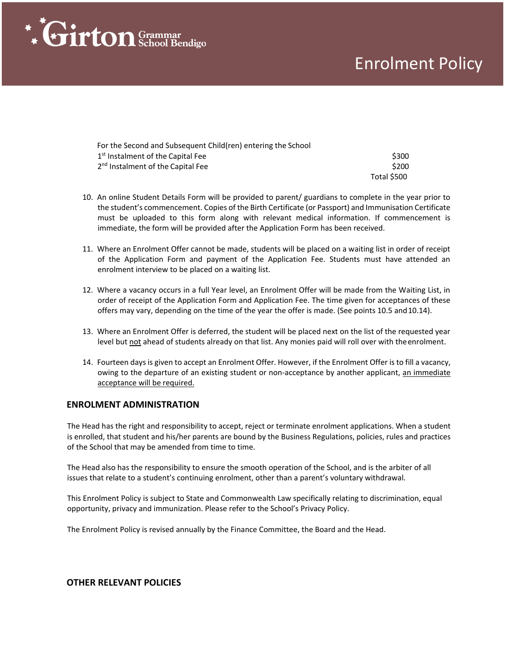# **\* Firton** Grammar

## Enrolment Policy

| For the Second and Subsequent Child(ren) entering the School |             |
|--------------------------------------------------------------|-------------|
| 1 <sup>st</sup> Instalment of the Capital Fee                | \$300       |
| 2 <sup>nd</sup> Instalment of the Capital Fee                | \$200       |
|                                                              | Total \$500 |

- 10. An online Student Details Form will be provided to parent/ guardians to complete in the year prior to the student's commencement. Copies of the Birth Certificate (or Passport) and Immunisation Certificate must be uploaded to this form along with relevant medical information. If commencement is immediate, the form will be provided after the Application Form has been received.
- 11. Where an Enrolment Offer cannot be made, students will be placed on a waiting list in order of receipt of the Application Form and payment of the Application Fee. Students must have attended an enrolment interview to be placed on a waiting list.
- 12. Where a vacancy occurs in a full Year level, an Enrolment Offer will be made from the Waiting List, in order of receipt of the Application Form and Application Fee. The time given for acceptances of these offers may vary, depending on the time of the year the offer is made. (See points 10.5 and 10.14).
- 13. Where an Enrolment Offer is deferred, the student will be placed next on the list of the requested year level but not ahead of students already on that list. Any monies paid will roll over with the enrolment.
- 14. Fourteen days is given to accept an Enrolment Offer. However, if the Enrolment Offer is to fill a vacancy, owing to the departure of an existing student or non-acceptance by another applicant, an immediate acceptance will be required.

#### **ENROLMENT ADMINISTRATION**

The Head has the right and responsibility to accept, reject or terminate enrolment applications. When a student is enrolled, that student and his/her parents are bound by the Business Regulations, policies, rules and practices of the School that may be amended from time to time.

The Head also has the responsibility to ensure the smooth operation of the School, and is the arbiter of all issues that relate to a student's continuing enrolment, other than a parent's voluntary withdrawal.

This Enrolment Policy is subject to State and Commonwealth Law specifically relating to discrimination, equal opportunity, privacy and immunization. Please refer to the School's Privacy Policy.

The Enrolment Policy is revised annually by the Finance Committee, the Board and the Head.

#### **OTHER RELEVANT POLICIES**